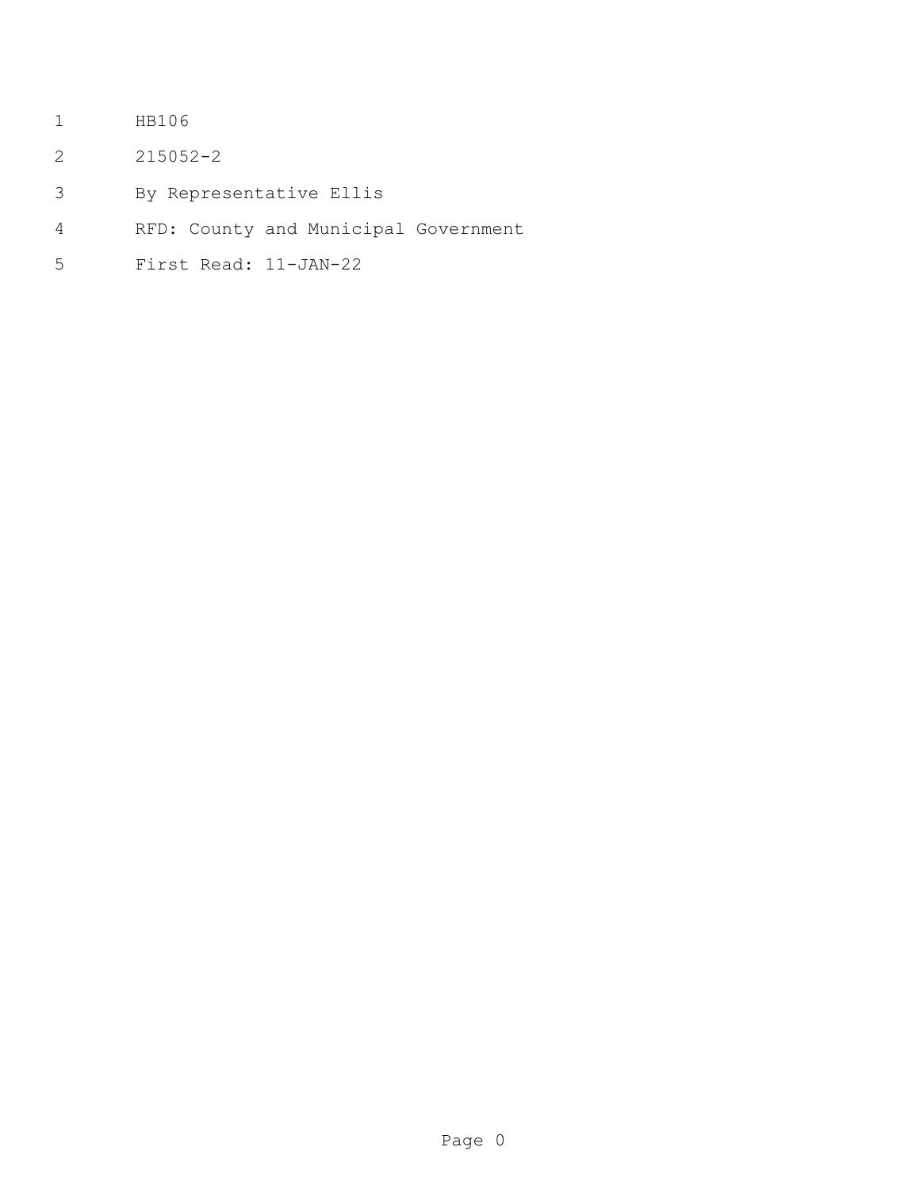- HB106
- 215052-2
- By Representative Ellis
- RFD: County and Municipal Government
- First Read: 11-JAN-22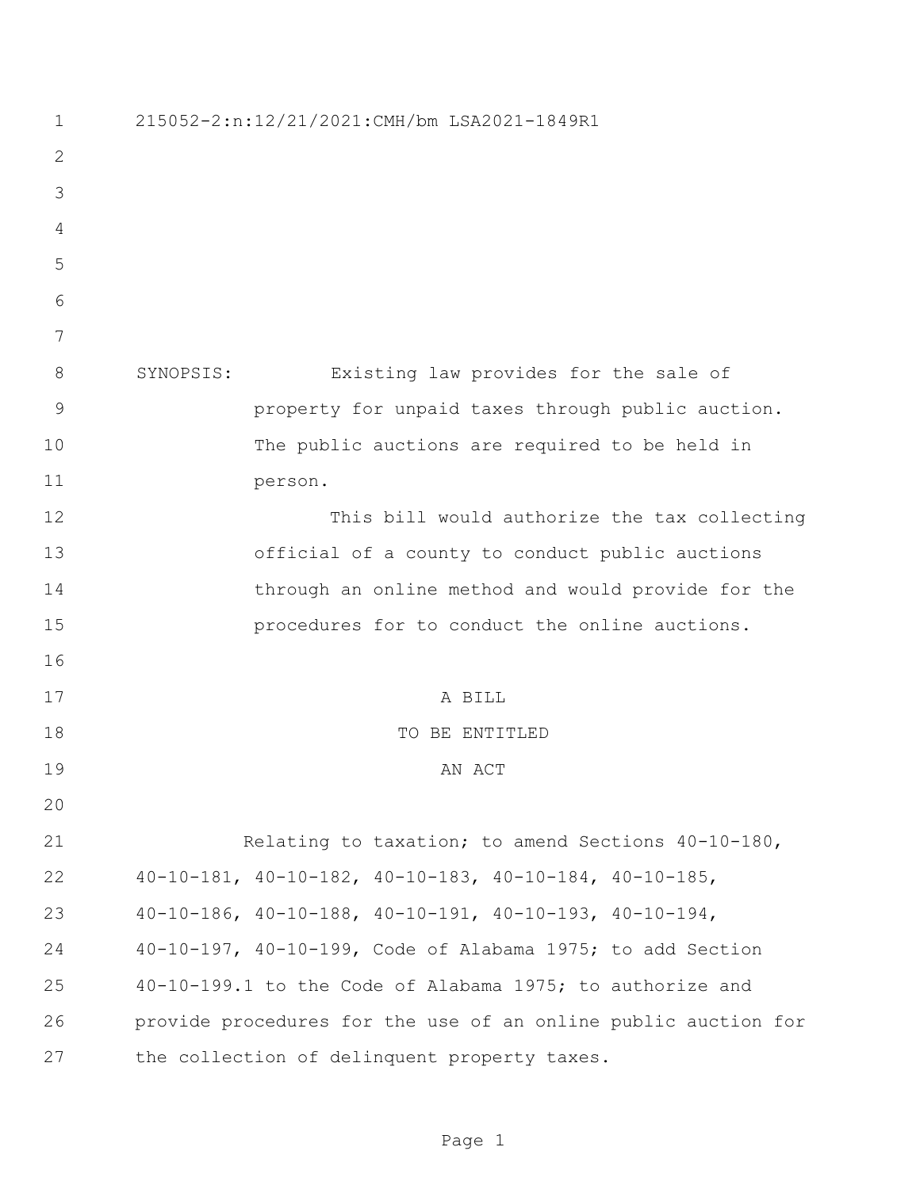| $\mathbf 1$    | 215052-2:n:12/21/2021:CMH/bm LSA2021-1849R1                           |
|----------------|-----------------------------------------------------------------------|
| $\mathbf{2}$   |                                                                       |
| 3              |                                                                       |
| $\overline{4}$ |                                                                       |
| 5              |                                                                       |
| 6              |                                                                       |
| 7              |                                                                       |
| 8              | Existing law provides for the sale of<br>SYNOPSIS:                    |
| $\mathcal{G}$  | property for unpaid taxes through public auction.                     |
| 10             | The public auctions are required to be held in                        |
| 11             | person.                                                               |
| 12             | This bill would authorize the tax collecting                          |
| 13             | official of a county to conduct public auctions                       |
| 14             | through an online method and would provide for the                    |
| 15             | procedures for to conduct the online auctions.                        |
| 16             |                                                                       |
| 17             | A BILL                                                                |
| 18             | TO BE ENTITLED                                                        |
| 19             | AN ACT                                                                |
| 20             |                                                                       |
| 21             | Relating to taxation; to amend Sections 40-10-180,                    |
| 22             | $40-10-181$ , $40-10-182$ , $40-10-183$ , $40-10-184$ , $40-10-185$ , |
| 23             | $40-10-186$ , $40-10-188$ , $40-10-191$ , $40-10-193$ , $40-10-194$ , |
| 24             | 40-10-197, 40-10-199, Code of Alabama 1975; to add Section            |
| 25             | 40-10-199.1 to the Code of Alabama 1975; to authorize and             |
| 26             | provide procedures for the use of an online public auction for        |
| 27             | the collection of delinquent property taxes.                          |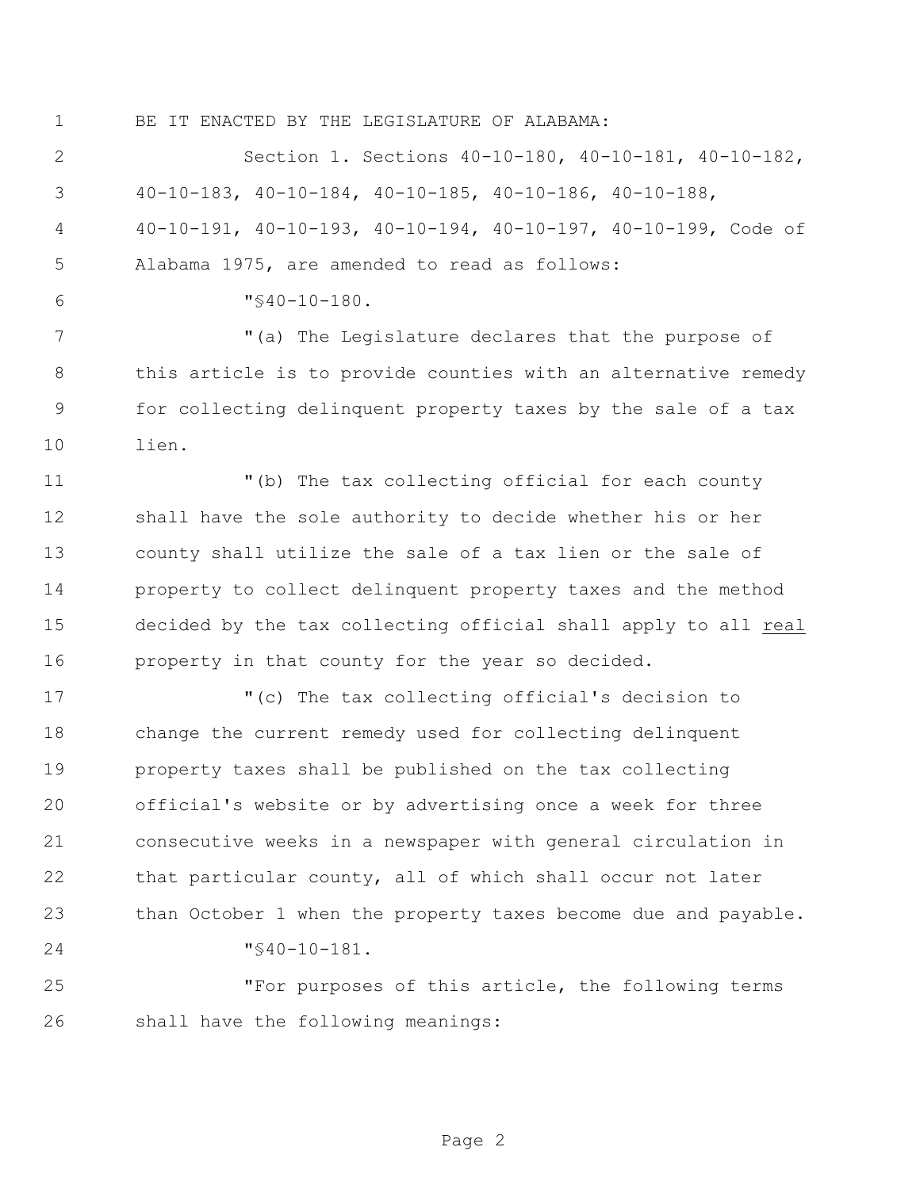BE IT ENACTED BY THE LEGISLATURE OF ALABAMA:

 Section 1. Sections 40-10-180, 40-10-181, 40-10-182, 40-10-183, 40-10-184, 40-10-185, 40-10-186, 40-10-188, 40-10-191, 40-10-193, 40-10-194, 40-10-197, 40-10-199, Code of Alabama 1975, are amended to read as follows:  $6 \text{ W} \leqslant 40-10-180.$  "(a) The Legislature declares that the purpose of this article is to provide counties with an alternative remedy for collecting delinquent property taxes by the sale of a tax lien. "(b) The tax collecting official for each county shall have the sole authority to decide whether his or her county shall utilize the sale of a tax lien or the sale of property to collect delinquent property taxes and the method decided by the tax collecting official shall apply to all real property in that county for the year so decided. "(c) The tax collecting official's decision to change the current remedy used for collecting delinquent property taxes shall be published on the tax collecting official's website or by advertising once a week for three consecutive weeks in a newspaper with general circulation in that particular county, all of which shall occur not later than October 1 when the property taxes become due and payable. "§40-10-181. "For purposes of this article, the following terms shall have the following meanings: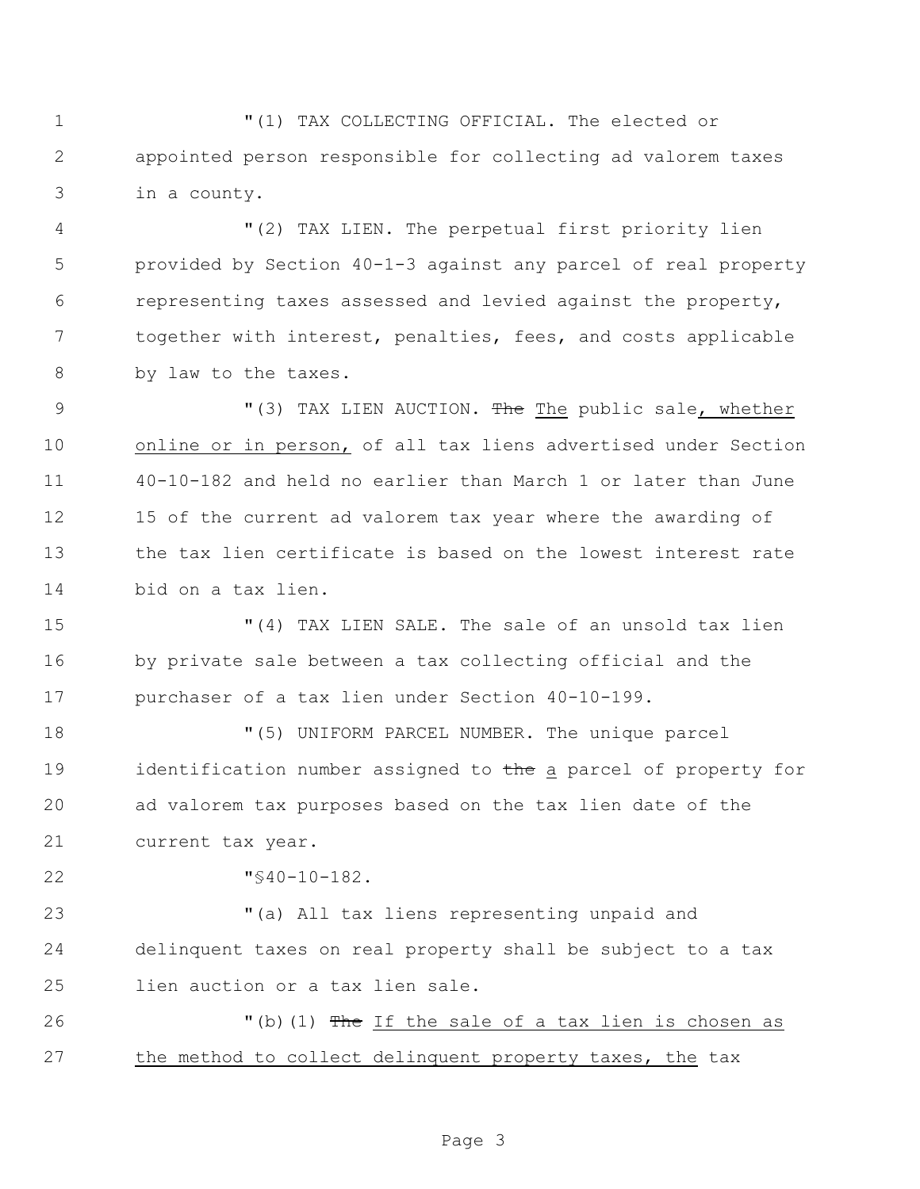"(1) TAX COLLECTING OFFICIAL. The elected or appointed person responsible for collecting ad valorem taxes in a county.

 "(2) TAX LIEN. The perpetual first priority lien provided by Section 40-1-3 against any parcel of real property representing taxes assessed and levied against the property, together with interest, penalties, fees, and costs applicable by law to the taxes.

9 "(3) TAX LIEN AUCTION. The The public sale, whether online or in person, of all tax liens advertised under Section 40-10-182 and held no earlier than March 1 or later than June 15 of the current ad valorem tax year where the awarding of the tax lien certificate is based on the lowest interest rate bid on a tax lien.

 "(4) TAX LIEN SALE. The sale of an unsold tax lien by private sale between a tax collecting official and the purchaser of a tax lien under Section 40-10-199.

 "(5) UNIFORM PARCEL NUMBER. The unique parcel 19 identification number assigned to the a parcel of property for ad valorem tax purposes based on the tax lien date of the current tax year.

"§40-10-182.

 "(a) All tax liens representing unpaid and delinquent taxes on real property shall be subject to a tax lien auction or a tax lien sale.

26 The If the sale of a tax lien is chosen as the method to collect delinquent property taxes, the tax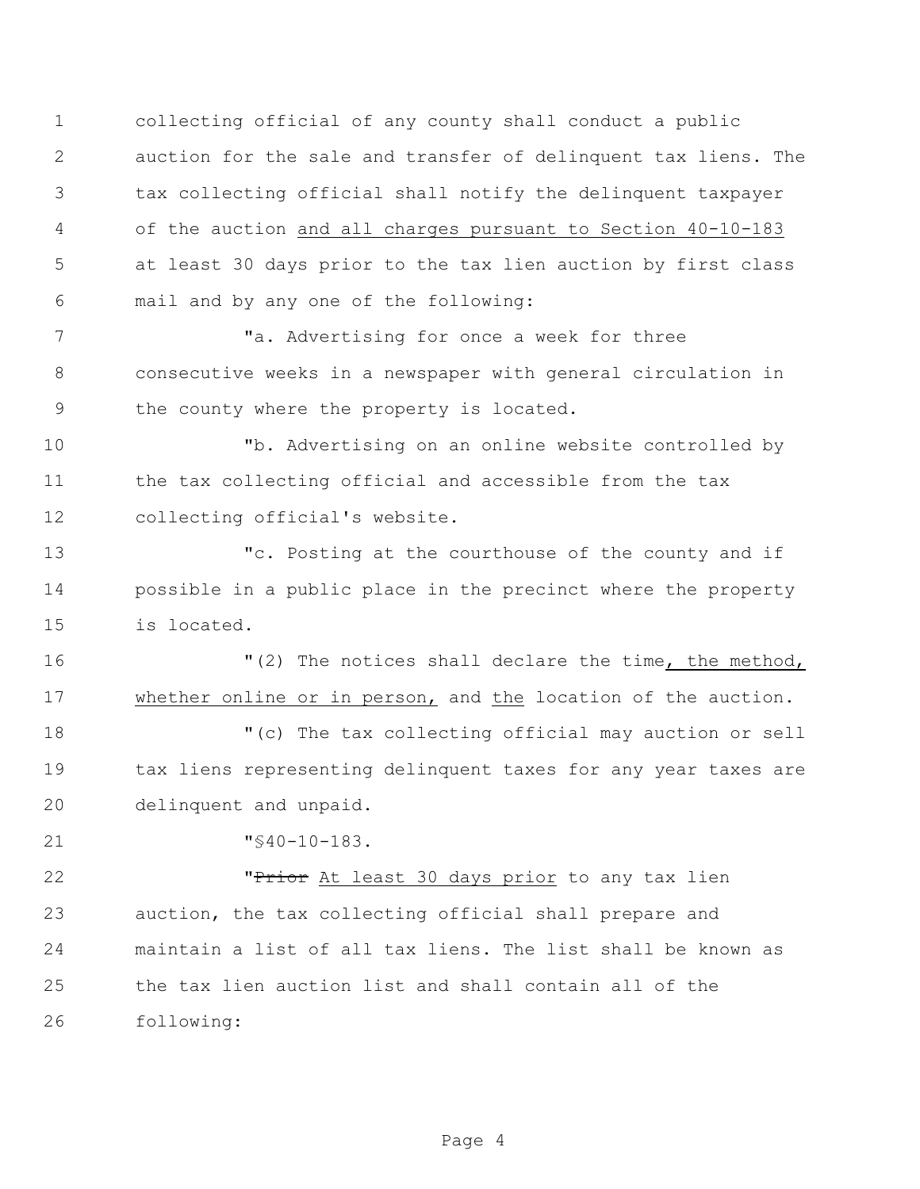collecting official of any county shall conduct a public auction for the sale and transfer of delinquent tax liens. The tax collecting official shall notify the delinquent taxpayer of the auction and all charges pursuant to Section 40-10-183 at least 30 days prior to the tax lien auction by first class mail and by any one of the following:

7 The state of the Matheman and Matheman and Matheman Talent and Matheman and Matheman and Matheman Talent and Matheman Indian Indian Indian Indian Indian Indian Indian Indian Indian Indian Indian Indian Indian Indian Indi consecutive weeks in a newspaper with general circulation in the county where the property is located.

 "b. Advertising on an online website controlled by the tax collecting official and accessible from the tax collecting official's website.

 "c. Posting at the courthouse of the county and if possible in a public place in the precinct where the property is located.

 "(2) The notices shall declare the time, the method, whether online or in person, and the location of the auction.

 "(c) The tax collecting official may auction or sell 19 tax liens representing delinquent taxes for any year taxes are delinquent and unpaid.

"§40-10-183.

**"Prior** At least 30 days prior to any tax lien auction, the tax collecting official shall prepare and maintain a list of all tax liens. The list shall be known as the tax lien auction list and shall contain all of the following: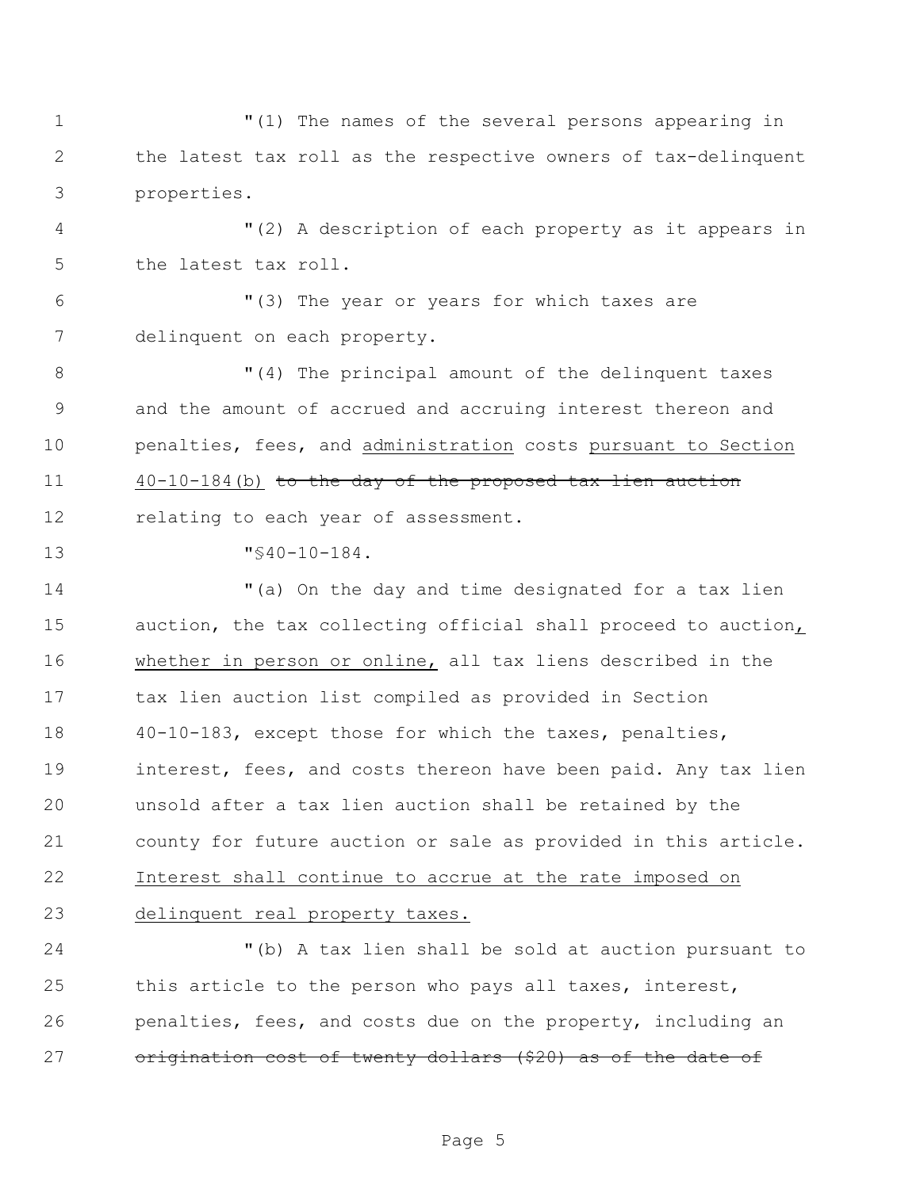"(1) The names of the several persons appearing in the latest tax roll as the respective owners of tax-delinquent properties.

 "(2) A description of each property as it appears in the latest tax roll.

 "(3) The year or years for which taxes are delinquent on each property.

8 T(4) The principal amount of the delinquent taxes and the amount of accrued and accruing interest thereon and penalties, fees, and administration costs pursuant to Section 40-10-184(b) to the day of the proposed tax lien auction 12 relating to each year of assessment.

"§40-10-184.

 "(a) On the day and time designated for a tax lien auction, the tax collecting official shall proceed to auction, whether in person or online, all tax liens described in the tax lien auction list compiled as provided in Section 40-10-183, except those for which the taxes, penalties, interest, fees, and costs thereon have been paid. Any tax lien unsold after a tax lien auction shall be retained by the county for future auction or sale as provided in this article. Interest shall continue to accrue at the rate imposed on delinquent real property taxes.

 "(b) A tax lien shall be sold at auction pursuant to this article to the person who pays all taxes, interest, penalties, fees, and costs due on the property, including an 27 origination cost of twenty dollars (\$20) as of the date of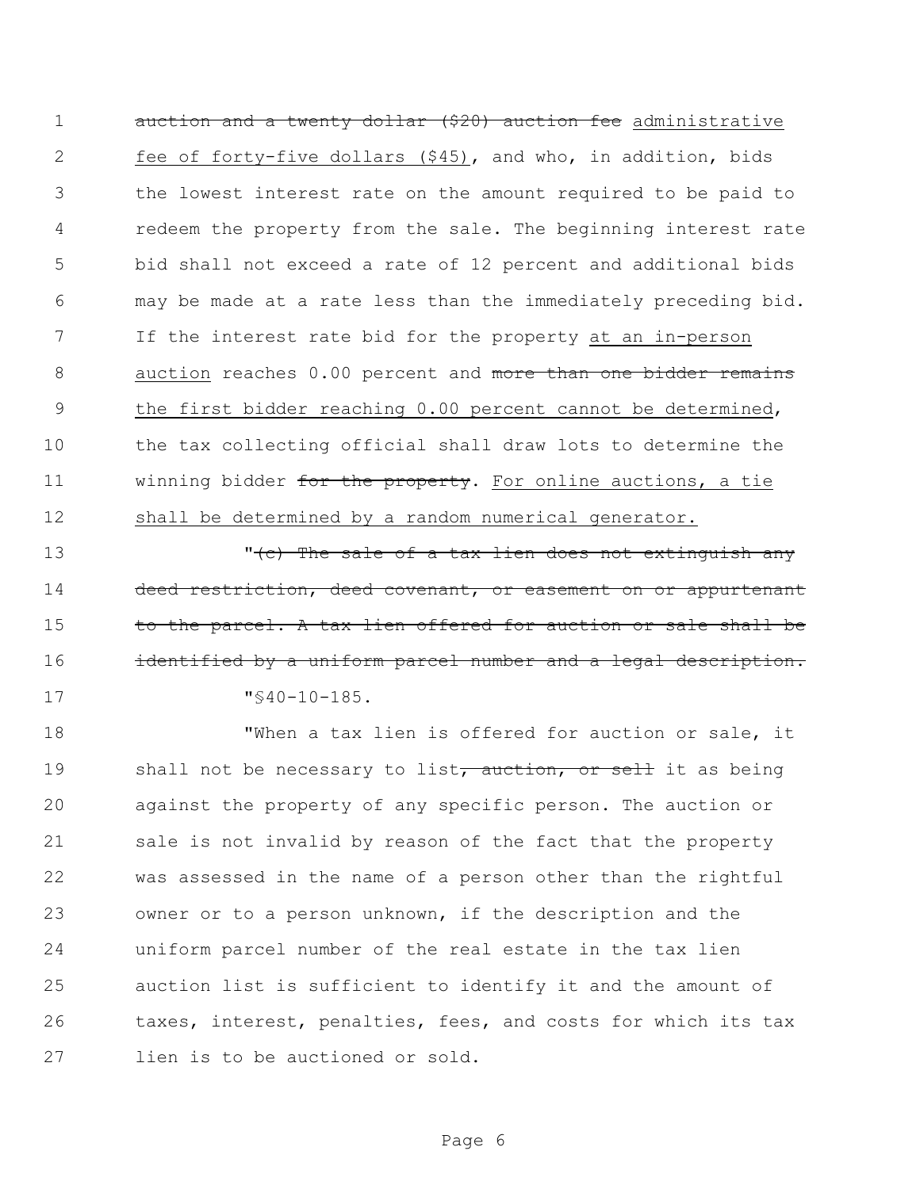auction and a twenty dollar (\$20) auction fee administrative fee of forty-five dollars (\$45), and who, in addition, bids the lowest interest rate on the amount required to be paid to redeem the property from the sale. The beginning interest rate bid shall not exceed a rate of 12 percent and additional bids may be made at a rate less than the immediately preceding bid. If the interest rate bid for the property at an in-person 8 auction reaches 0.00 percent and more than one bidder remains 9 the first bidder reaching 0.00 percent cannot be determined, the tax collecting official shall draw lots to determine the 11 winning bidder for the property. For online auctions, a tie 12 shall be determined by a random numerical generator.

13 The sale of a tax lien does not extinguish any 14 deed restriction, deed covenant, or easement on or appurtenant 15 to the parcel. A tax lien offered for auction or sale shall be 16 identified by a uniform parcel number and a legal description. 17  $\sqrt{940-10-185}$ .

 "When a tax lien is offered for auction or sale, it 19 shall not be necessary to list, auction, or sell it as being against the property of any specific person. The auction or sale is not invalid by reason of the fact that the property was assessed in the name of a person other than the rightful owner or to a person unknown, if the description and the uniform parcel number of the real estate in the tax lien auction list is sufficient to identify it and the amount of taxes, interest, penalties, fees, and costs for which its tax lien is to be auctioned or sold.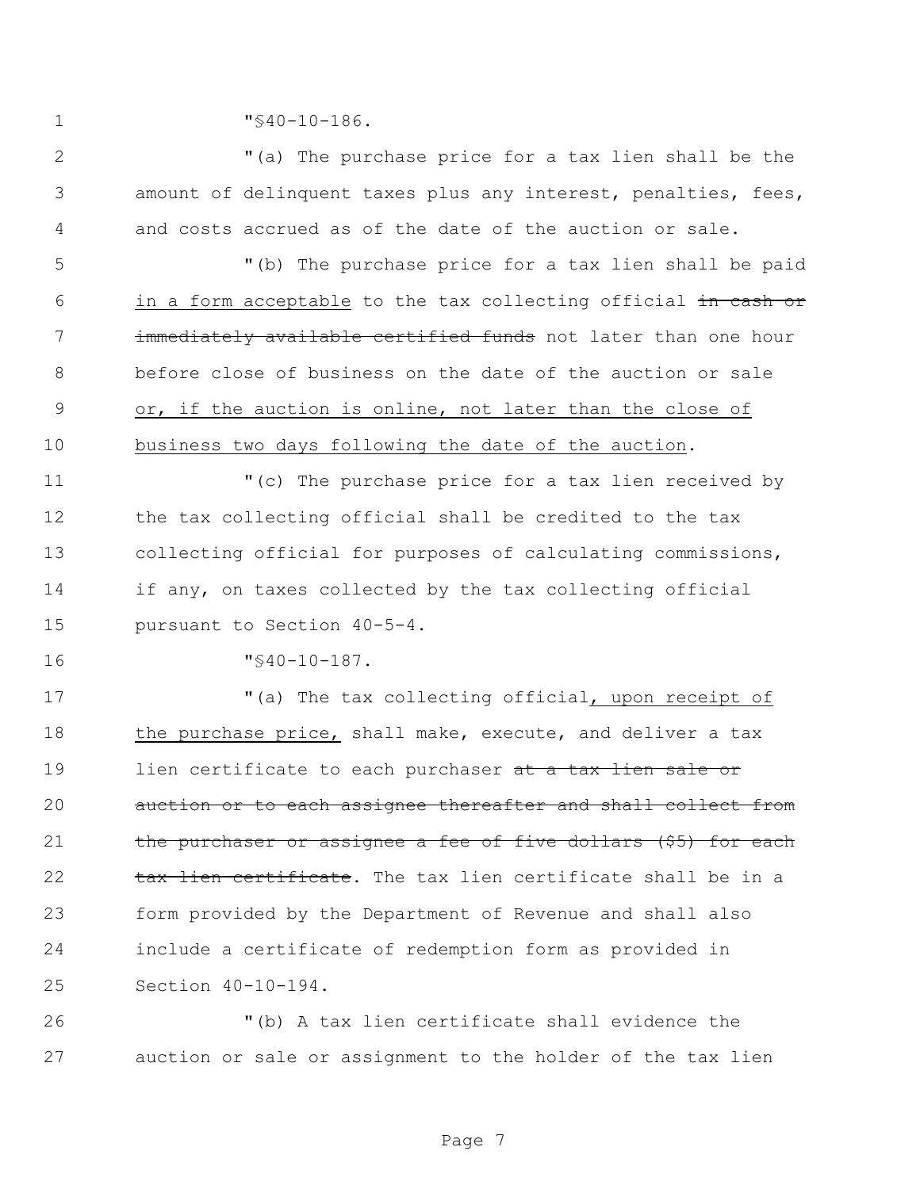"§40-10-186.

 "(a) The purchase price for a tax lien shall be the amount of delinquent taxes plus any interest, penalties, fees, and costs accrued as of the date of the auction or sale.

 "(b) The purchase price for a tax lien shall be paid 6 in a form acceptable to the tax collecting official in cash or **immediately available certified funds** not later than one hour before close of business on the date of the auction or sale or, if the auction is online, not later than the close of business two days following the date of the auction.

 "(c) The purchase price for a tax lien received by the tax collecting official shall be credited to the tax collecting official for purposes of calculating commissions, if any, on taxes collected by the tax collecting official pursuant to Section 40-5-4.

"§40-10-187.

 "(a) The tax collecting official, upon receipt of 18 the purchase price, shall make, execute, and deliver a tax 19 lien certificate to each purchaser at a tax lien sale or 20 auction or to each assignee thereafter and shall collect from 21 the purchaser or assignee a fee of five dollars (\$5) for each 22 tax lien certificate. The tax lien certificate shall be in a form provided by the Department of Revenue and shall also include a certificate of redemption form as provided in Section 40-10-194.

 "(b) A tax lien certificate shall evidence the auction or sale or assignment to the holder of the tax lien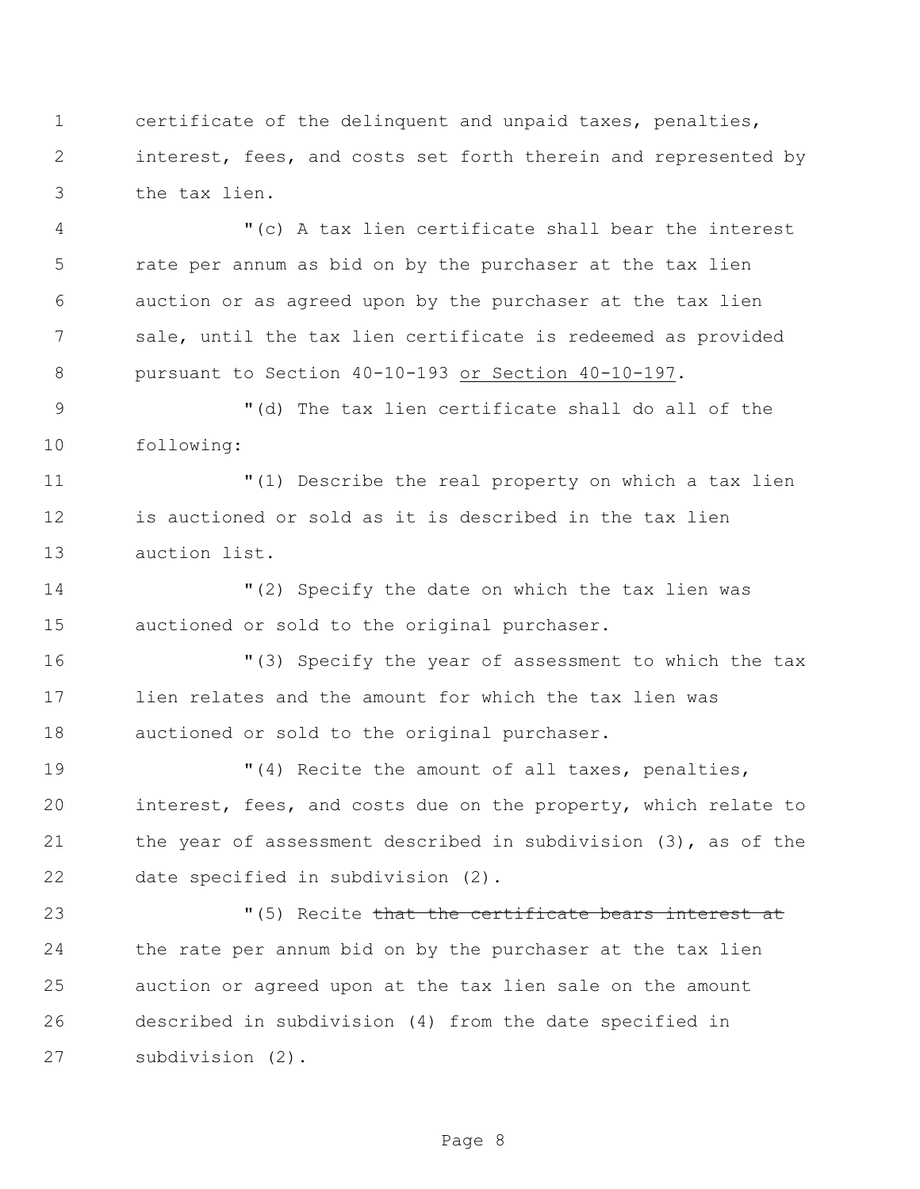certificate of the delinquent and unpaid taxes, penalties, interest, fees, and costs set forth therein and represented by the tax lien.

 "(c) A tax lien certificate shall bear the interest rate per annum as bid on by the purchaser at the tax lien auction or as agreed upon by the purchaser at the tax lien sale, until the tax lien certificate is redeemed as provided pursuant to Section 40-10-193 or Section 40-10-197.

9 "(d) The tax lien certificate shall do all of the following:

 "(1) Describe the real property on which a tax lien is auctioned or sold as it is described in the tax lien auction list.

 "(2) Specify the date on which the tax lien was auctioned or sold to the original purchaser.

 "(3) Specify the year of assessment to which the tax lien relates and the amount for which the tax lien was auctioned or sold to the original purchaser.

 "(4) Recite the amount of all taxes, penalties, interest, fees, and costs due on the property, which relate to the year of assessment described in subdivision (3), as of the date specified in subdivision (2).

23 The Contract of the certificate bears interest at  $(5)$  Recite that the certificate bears interest at the rate per annum bid on by the purchaser at the tax lien auction or agreed upon at the tax lien sale on the amount described in subdivision (4) from the date specified in subdivision (2).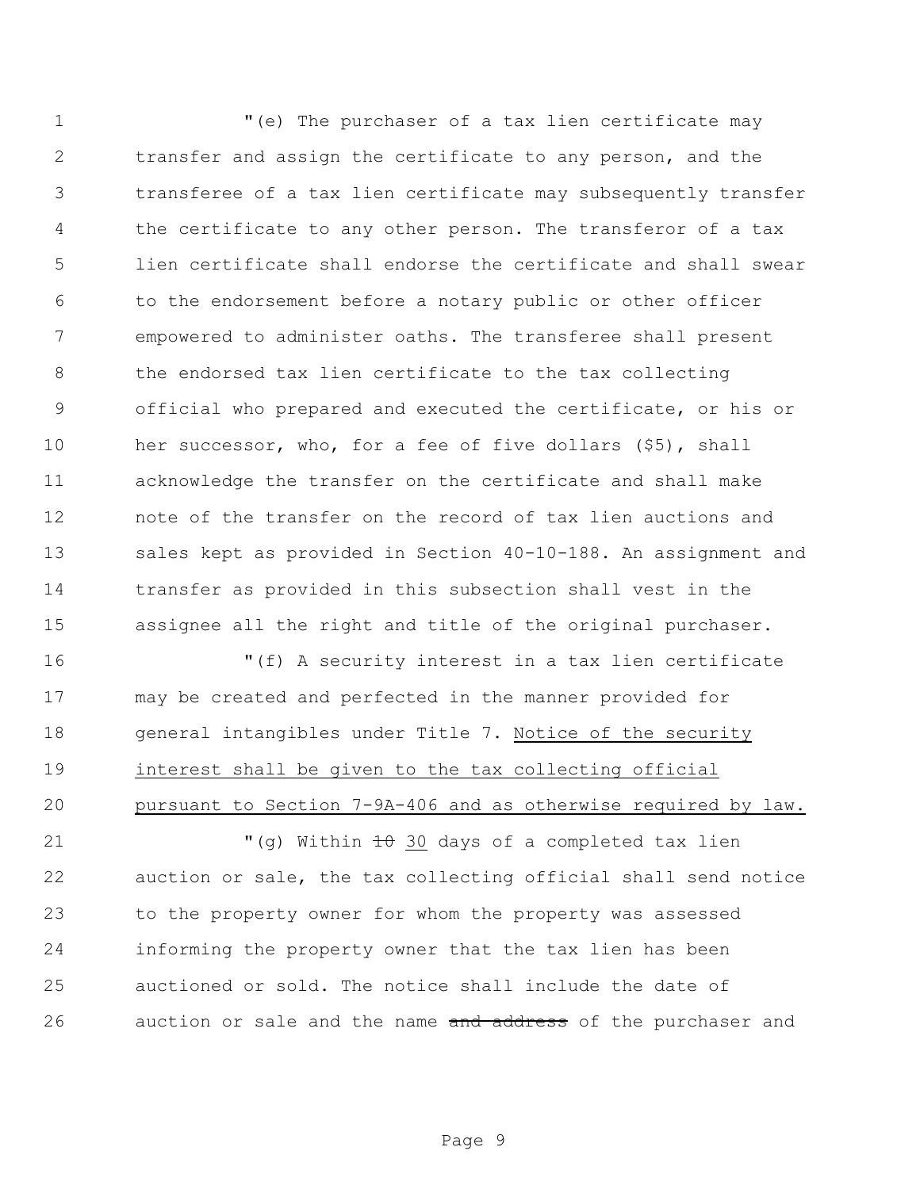"(e) The purchaser of a tax lien certificate may transfer and assign the certificate to any person, and the transferee of a tax lien certificate may subsequently transfer the certificate to any other person. The transferor of a tax lien certificate shall endorse the certificate and shall swear to the endorsement before a notary public or other officer empowered to administer oaths. The transferee shall present the endorsed tax lien certificate to the tax collecting official who prepared and executed the certificate, or his or her successor, who, for a fee of five dollars (\$5), shall acknowledge the transfer on the certificate and shall make note of the transfer on the record of tax lien auctions and sales kept as provided in Section 40-10-188. An assignment and transfer as provided in this subsection shall vest in the assignee all the right and title of the original purchaser.

 "(f) A security interest in a tax lien certificate may be created and perfected in the manner provided for general intangibles under Title 7. Notice of the security interest shall be given to the tax collecting official pursuant to Section 7-9A-406 and as otherwise required by law.

 $(9)$  Within  $\pm 0$  30 days of a completed tax lien auction or sale, the tax collecting official shall send notice to the property owner for whom the property was assessed informing the property owner that the tax lien has been auctioned or sold. The notice shall include the date of 26 auction or sale and the name and address of the purchaser and

Page 9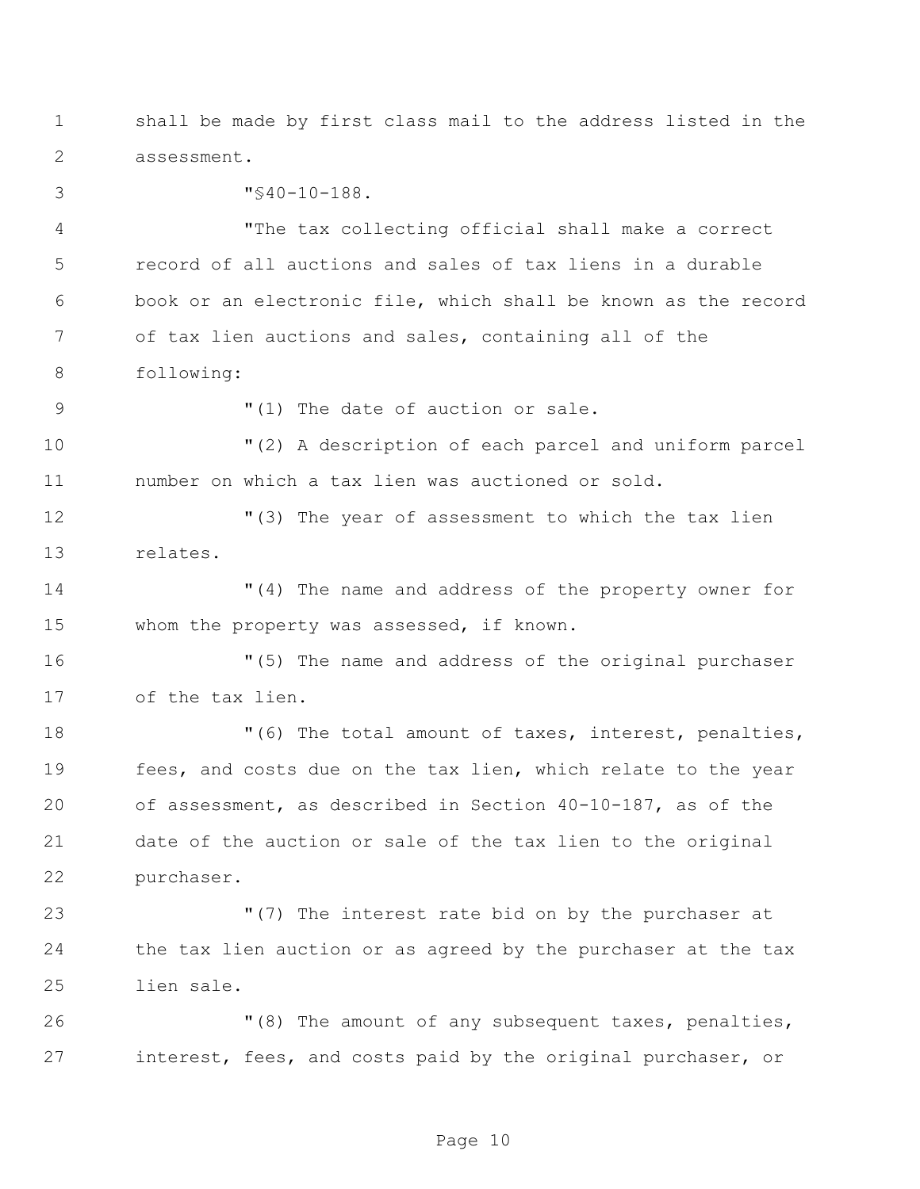shall be made by first class mail to the address listed in the assessment.

 "§40-10-188. "The tax collecting official shall make a correct record of all auctions and sales of tax liens in a durable book or an electronic file, which shall be known as the record of tax lien auctions and sales, containing all of the following: "(1) The date of auction or sale.

 "(2) A description of each parcel and uniform parcel number on which a tax lien was auctioned or sold.

 "(3) The year of assessment to which the tax lien relates.

 "(4) The name and address of the property owner for whom the property was assessed, if known.

 "(5) The name and address of the original purchaser of the tax lien.

18 The total amount of taxes, interest, penalties, fees, and costs due on the tax lien, which relate to the year of assessment, as described in Section 40-10-187, as of the date of the auction or sale of the tax lien to the original purchaser.

 "(7) The interest rate bid on by the purchaser at the tax lien auction or as agreed by the purchaser at the tax lien sale.

 "(8) The amount of any subsequent taxes, penalties, interest, fees, and costs paid by the original purchaser, or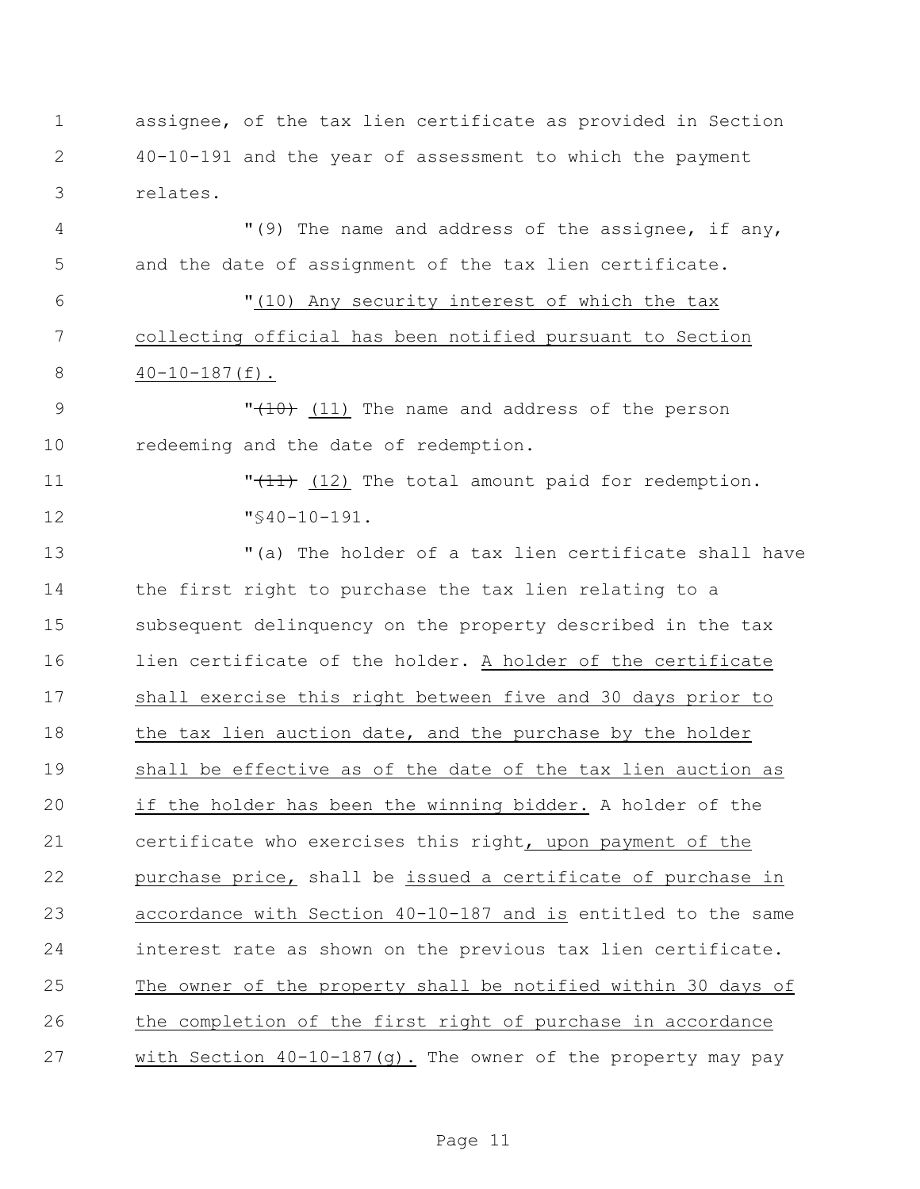assignee, of the tax lien certificate as provided in Section 40-10-191 and the year of assessment to which the payment relates.

 "(9) The name and address of the assignee, if any, and the date of assignment of the tax lien certificate.

 "(10) Any security interest of which the tax collecting official has been notified pursuant to Section 40-10-187(f).

9  $\sqrt{10}$  (11) The name and address of the person redeeming and the date of redemption.

11  $\sqrt{11}$  (12) The total amount paid for redemption. "§40-10-191.

 "(a) The holder of a tax lien certificate shall have the first right to purchase the tax lien relating to a subsequent delinquency on the property described in the tax lien certificate of the holder. A holder of the certificate shall exercise this right between five and 30 days prior to 18 the tax lien auction date, and the purchase by the holder shall be effective as of the date of the tax lien auction as if the holder has been the winning bidder. A holder of the certificate who exercises this right, upon payment of the purchase price, shall be issued a certificate of purchase in accordance with Section 40-10-187 and is entitled to the same interest rate as shown on the previous tax lien certificate. The owner of the property shall be notified within 30 days of the completion of the first right of purchase in accordance with Section 40-10-187(g). The owner of the property may pay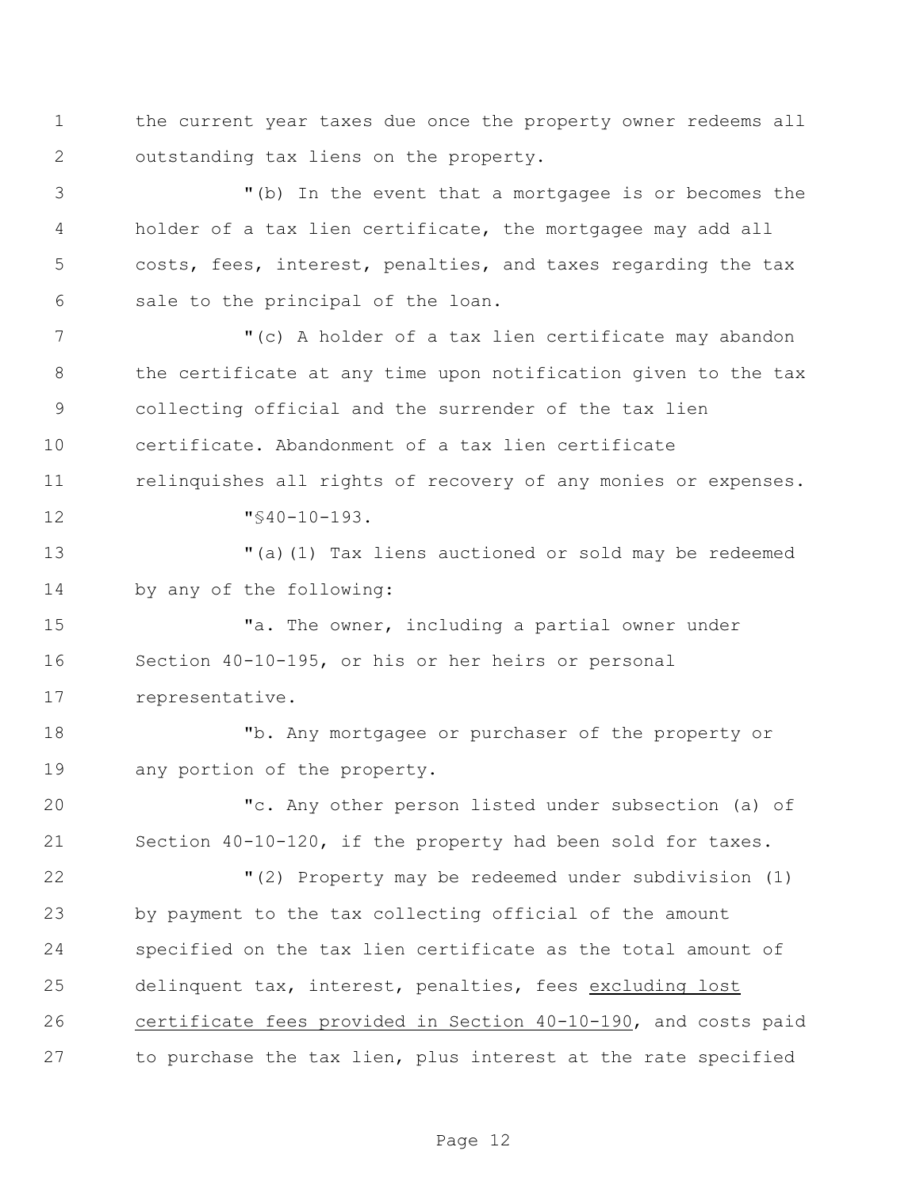the current year taxes due once the property owner redeems all outstanding tax liens on the property.

 "(b) In the event that a mortgagee is or becomes the holder of a tax lien certificate, the mortgagee may add all costs, fees, interest, penalties, and taxes regarding the tax sale to the principal of the loan.

 "(c) A holder of a tax lien certificate may abandon the certificate at any time upon notification given to the tax collecting official and the surrender of the tax lien certificate. Abandonment of a tax lien certificate 11 relinquishes all rights of recovery of any monies or expenses. "§40-10-193.

 "(a)(1) Tax liens auctioned or sold may be redeemed by any of the following:

 "a. The owner, including a partial owner under Section 40-10-195, or his or her heirs or personal representative.

 "b. Any mortgagee or purchaser of the property or any portion of the property.

 "c. Any other person listed under subsection (a) of Section 40-10-120, if the property had been sold for taxes.

 "(2) Property may be redeemed under subdivision (1) by payment to the tax collecting official of the amount specified on the tax lien certificate as the total amount of 25 delinquent tax, interest, penalties, fees excluding lost certificate fees provided in Section 40-10-190, and costs paid to purchase the tax lien, plus interest at the rate specified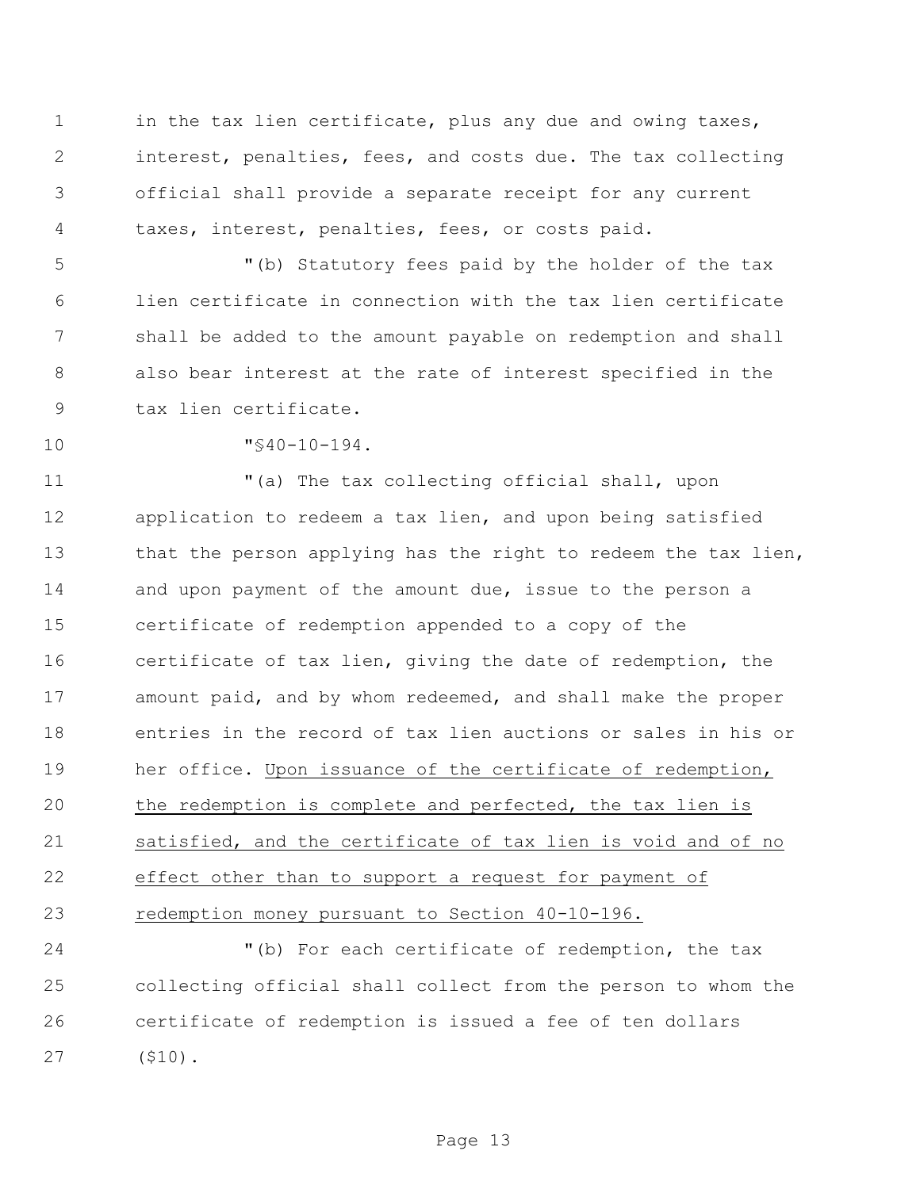1 in the tax lien certificate, plus any due and owing taxes, interest, penalties, fees, and costs due. The tax collecting official shall provide a separate receipt for any current taxes, interest, penalties, fees, or costs paid.

 "(b) Statutory fees paid by the holder of the tax lien certificate in connection with the tax lien certificate shall be added to the amount payable on redemption and shall also bear interest at the rate of interest specified in the tax lien certificate.

"§40-10-194.

 "(a) The tax collecting official shall, upon application to redeem a tax lien, and upon being satisfied 13 that the person applying has the right to redeem the tax lien, and upon payment of the amount due, issue to the person a certificate of redemption appended to a copy of the certificate of tax lien, giving the date of redemption, the amount paid, and by whom redeemed, and shall make the proper entries in the record of tax lien auctions or sales in his or her office. Upon issuance of the certificate of redemption, the redemption is complete and perfected, the tax lien is satisfied, and the certificate of tax lien is void and of no effect other than to support a request for payment of redemption money pursuant to Section 40-10-196.

 "(b) For each certificate of redemption, the tax collecting official shall collect from the person to whom the certificate of redemption is issued a fee of ten dollars (\$10).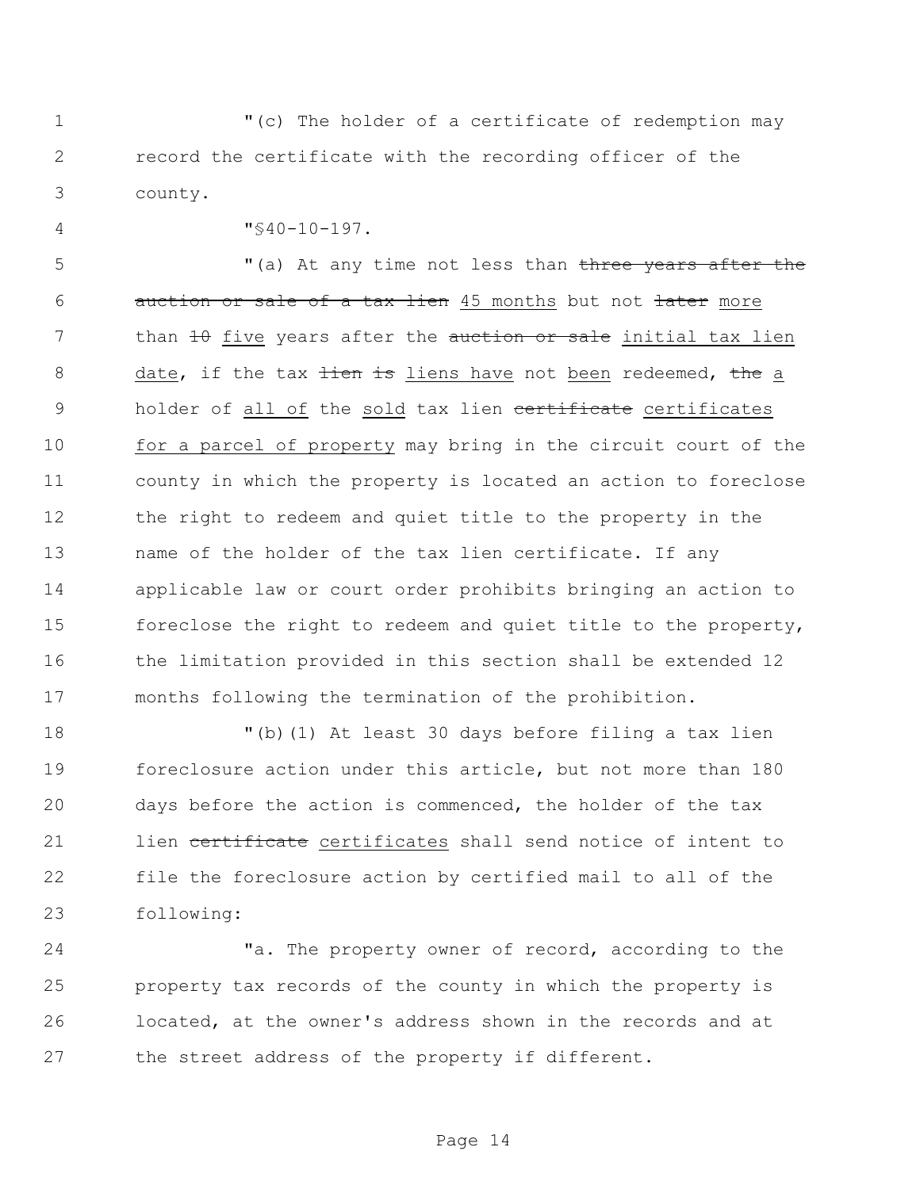"(c) The holder of a certificate of redemption may record the certificate with the recording officer of the county.

"§40-10-197.

5 "(a) At any time not less than three years after the 6 auction or sale of a tax lien 45 months but not later more 7 than 10 five years after the auction or sale initial tax lien 8 date, if the tax tien is liens have not been redeemed, the a 9 holder of all of the sold tax lien certificate certificates for a parcel of property may bring in the circuit court of the county in which the property is located an action to foreclose the right to redeem and quiet title to the property in the name of the holder of the tax lien certificate. If any applicable law or court order prohibits bringing an action to foreclose the right to redeem and quiet title to the property, the limitation provided in this section shall be extended 12 months following the termination of the prohibition.

 "(b)(1) At least 30 days before filing a tax lien foreclosure action under this article, but not more than 180 days before the action is commenced, the holder of the tax 21 lien certificate certificates shall send notice of intent to file the foreclosure action by certified mail to all of the following:

24 The property owner of record, according to the property tax records of the county in which the property is located, at the owner's address shown in the records and at the street address of the property if different.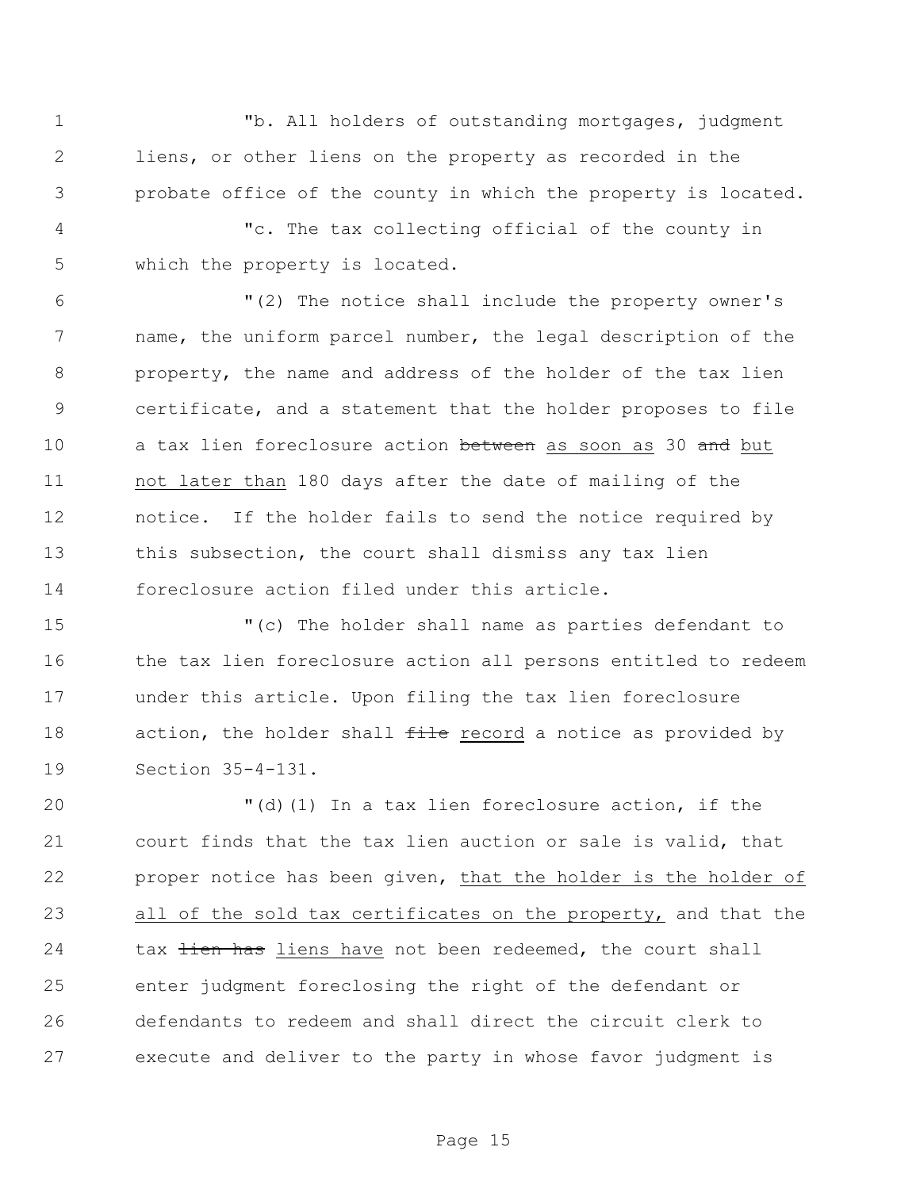"b. All holders of outstanding mortgages, judgment liens, or other liens on the property as recorded in the probate office of the county in which the property is located.

 "c. The tax collecting official of the county in which the property is located.

 "(2) The notice shall include the property owner's name, the uniform parcel number, the legal description of the property, the name and address of the holder of the tax lien certificate, and a statement that the holder proposes to file 10 a tax lien foreclosure action between as soon as 30 and but not later than 180 days after the date of mailing of the notice. If the holder fails to send the notice required by 13 this subsection, the court shall dismiss any tax lien foreclosure action filed under this article.

 "(c) The holder shall name as parties defendant to 16 the tax lien foreclosure action all persons entitled to redeem under this article. Upon filing the tax lien foreclosure 18 action, the holder shall file record a notice as provided by Section 35-4-131.

 "(d)(1) In a tax lien foreclosure action, if the court finds that the tax lien auction or sale is valid, that proper notice has been given, that the holder is the holder of all of the sold tax certificates on the property, and that the 24 tax tien has liens have not been redeemed, the court shall enter judgment foreclosing the right of the defendant or defendants to redeem and shall direct the circuit clerk to execute and deliver to the party in whose favor judgment is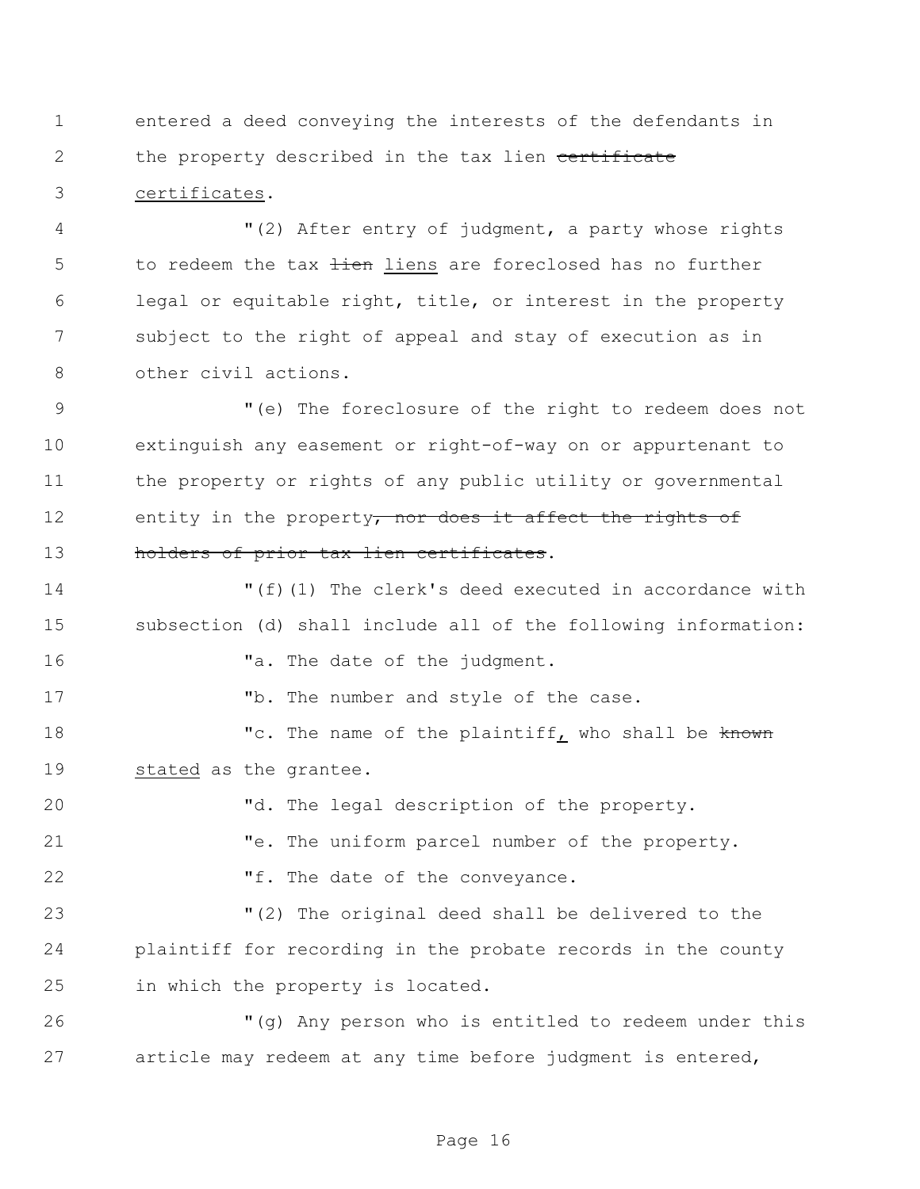entered a deed conveying the interests of the defendants in 2 the property described in the tax lien certificate certificates.

 "(2) After entry of judgment, a party whose rights 5 to redeem the tax tien liens are foreclosed has no further legal or equitable right, title, or interest in the property subject to the right of appeal and stay of execution as in other civil actions.

 "(e) The foreclosure of the right to redeem does not extinguish any easement or right-of-way on or appurtenant to the property or rights of any public utility or governmental 12 entity in the property, nor does it affect the rights of 13 holders of prior tax lien certificates.

 "(f)(1) The clerk's deed executed in accordance with subsection (d) shall include all of the following information: **"a.** The date of the judgment. 17 The number and style of the case. 18 The name of the plaintiff, who shall be known stated as the grantee. "d. The legal description of the property.

 "e. The uniform parcel number of the property. 22 Tf. The date of the conveyance.

 "(2) The original deed shall be delivered to the plaintiff for recording in the probate records in the county in which the property is located.

 "(g) Any person who is entitled to redeem under this article may redeem at any time before judgment is entered,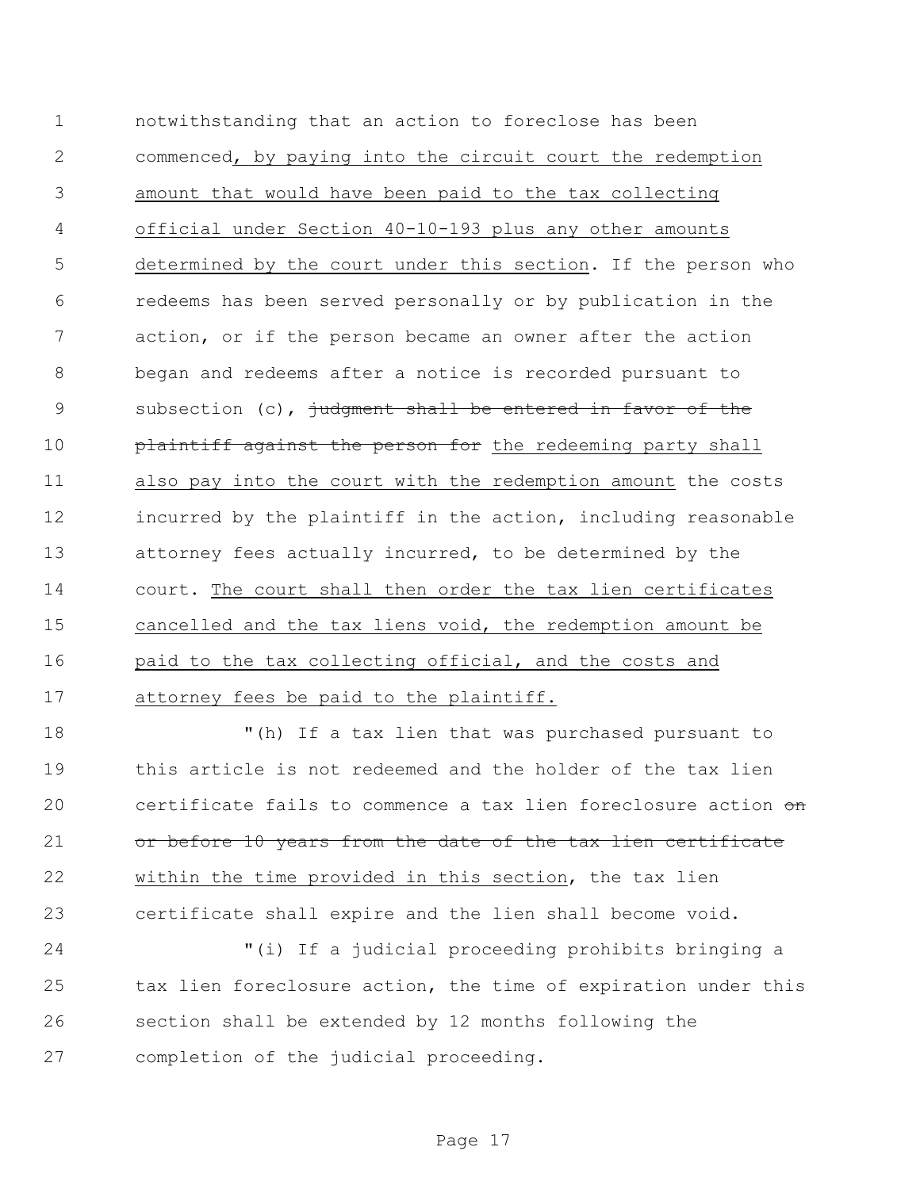notwithstanding that an action to foreclose has been commenced, by paying into the circuit court the redemption amount that would have been paid to the tax collecting official under Section 40-10-193 plus any other amounts determined by the court under this section. If the person who redeems has been served personally or by publication in the action, or if the person became an owner after the action began and redeems after a notice is recorded pursuant to 9 subsection (c), judgment shall be entered in favor of the 10 plaintiff against the person for the redeeming party shall also pay into the court with the redemption amount the costs incurred by the plaintiff in the action, including reasonable attorney fees actually incurred, to be determined by the court. The court shall then order the tax lien certificates cancelled and the tax liens void, the redemption amount be paid to the tax collecting official, and the costs and attorney fees be paid to the plaintiff.

 "(h) If a tax lien that was purchased pursuant to this article is not redeemed and the holder of the tax lien 20 certificate fails to commence a tax lien foreclosure action  $\sigma$ n 21 or before 10 years from the date of the tax lien certificate within the time provided in this section, the tax lien certificate shall expire and the lien shall become void.

 "(i) If a judicial proceeding prohibits bringing a tax lien foreclosure action, the time of expiration under this section shall be extended by 12 months following the completion of the judicial proceeding.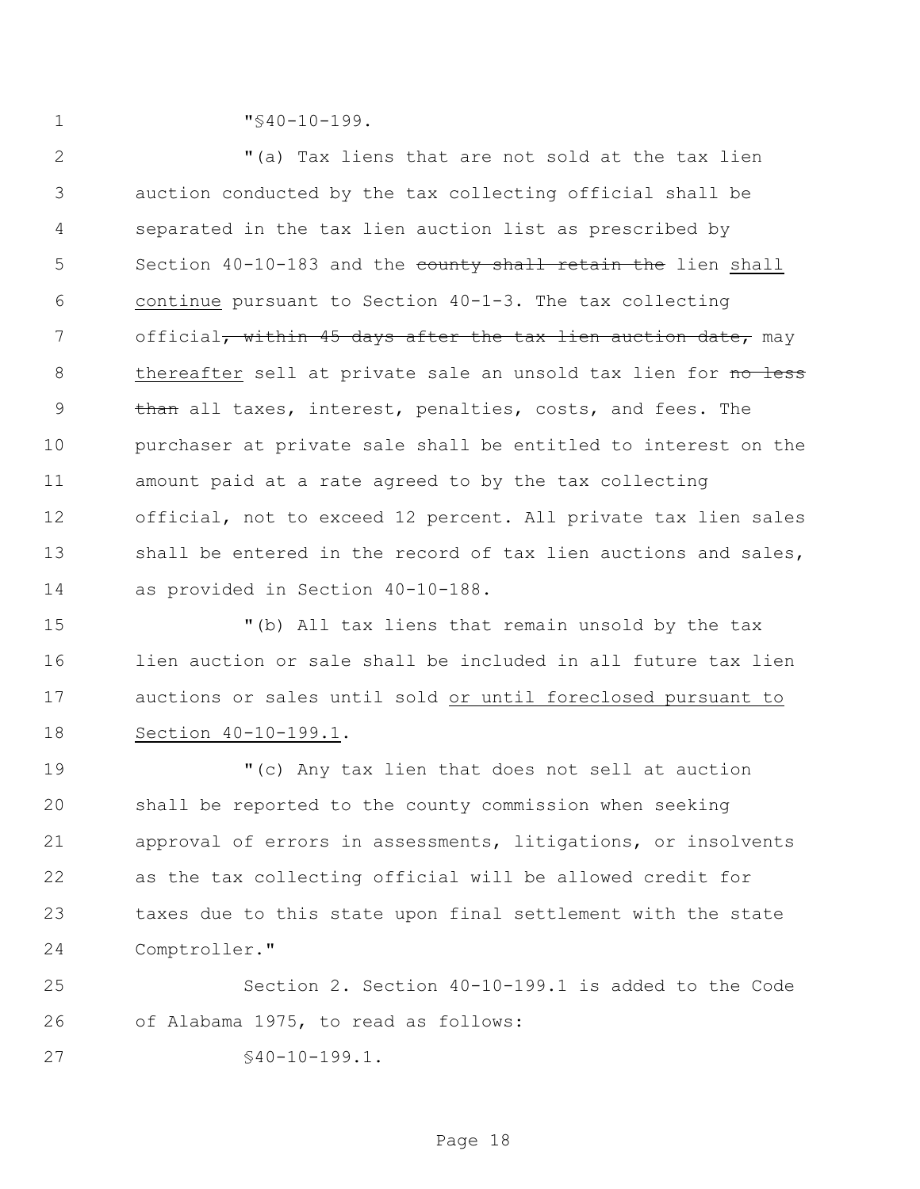1  $\sqrt{940-10-199}$ .

 "(a) Tax liens that are not sold at the tax lien auction conducted by the tax collecting official shall be separated in the tax lien auction list as prescribed by 5 Section 40-10-183 and the county shall retain the lien shall continue pursuant to Section 40-1-3. The tax collecting 7 official, within 45 days after the tax lien auction date, may 8 thereafter sell at private sale an unsold tax lien for no less 9 than all taxes, interest, penalties, costs, and fees. The purchaser at private sale shall be entitled to interest on the amount paid at a rate agreed to by the tax collecting official, not to exceed 12 percent. All private tax lien sales 13 shall be entered in the record of tax lien auctions and sales, as provided in Section 40-10-188.

 "(b) All tax liens that remain unsold by the tax lien auction or sale shall be included in all future tax lien auctions or sales until sold or until foreclosed pursuant to Section 40-10-199.1.

 "(c) Any tax lien that does not sell at auction shall be reported to the county commission when seeking approval of errors in assessments, litigations, or insolvents as the tax collecting official will be allowed credit for taxes due to this state upon final settlement with the state Comptroller."

 Section 2. Section 40-10-199.1 is added to the Code of Alabama 1975, to read as follows:

§40-10-199.1.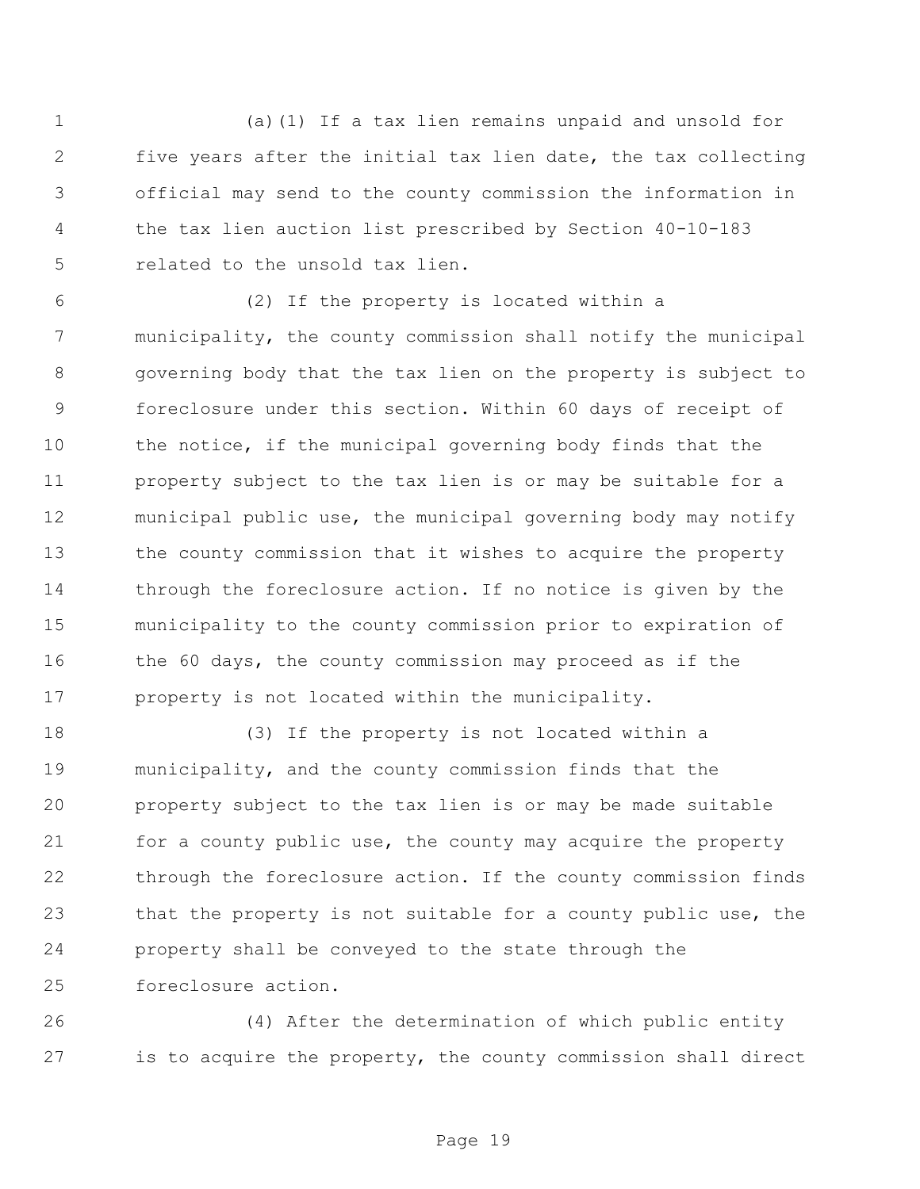(a)(1) If a tax lien remains unpaid and unsold for five years after the initial tax lien date, the tax collecting official may send to the county commission the information in the tax lien auction list prescribed by Section 40-10-183 related to the unsold tax lien.

 (2) If the property is located within a municipality, the county commission shall notify the municipal governing body that the tax lien on the property is subject to foreclosure under this section. Within 60 days of receipt of the notice, if the municipal governing body finds that the property subject to the tax lien is or may be suitable for a municipal public use, the municipal governing body may notify the county commission that it wishes to acquire the property through the foreclosure action. If no notice is given by the municipality to the county commission prior to expiration of 16 the 60 days, the county commission may proceed as if the property is not located within the municipality.

 (3) If the property is not located within a municipality, and the county commission finds that the property subject to the tax lien is or may be made suitable for a county public use, the county may acquire the property through the foreclosure action. If the county commission finds that the property is not suitable for a county public use, the property shall be conveyed to the state through the foreclosure action.

 (4) After the determination of which public entity is to acquire the property, the county commission shall direct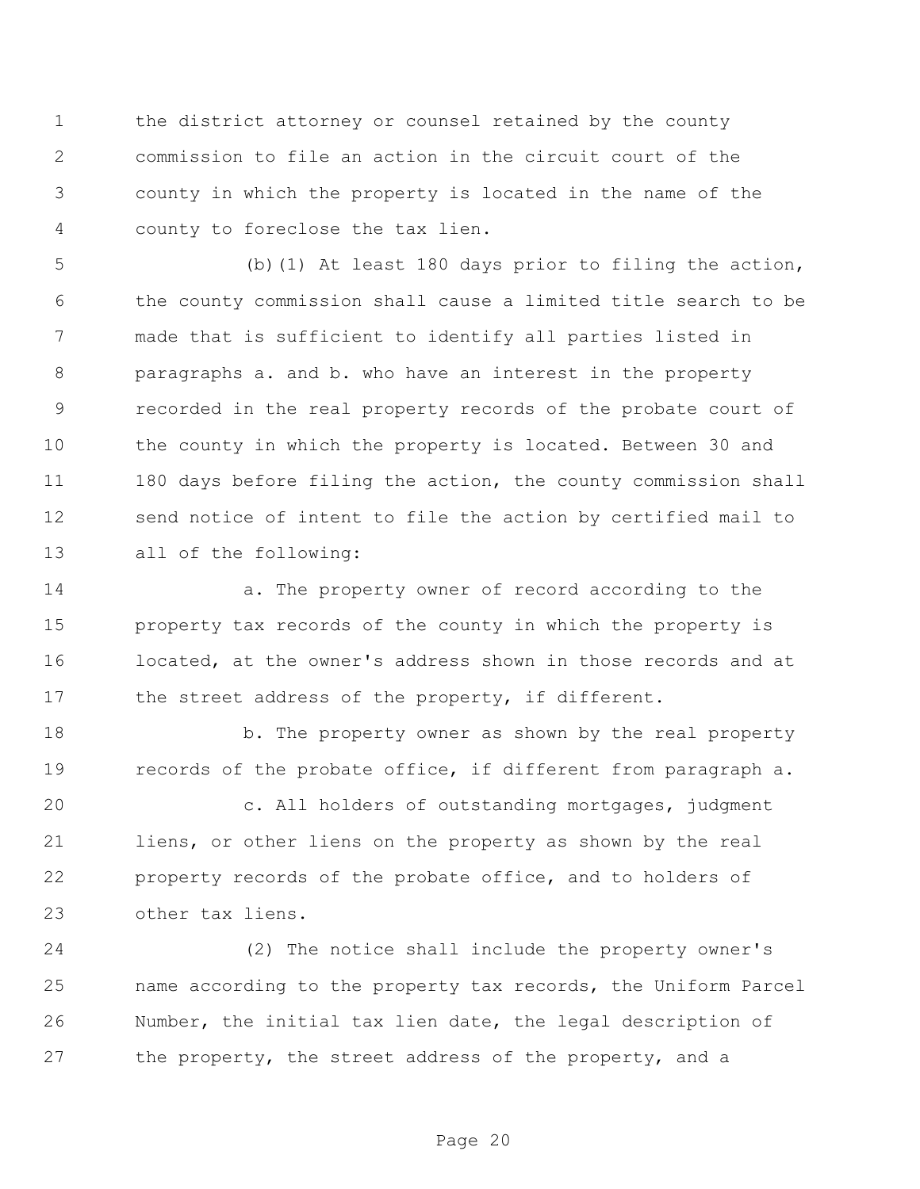the district attorney or counsel retained by the county commission to file an action in the circuit court of the county in which the property is located in the name of the county to foreclose the tax lien.

 (b)(1) At least 180 days prior to filing the action, the county commission shall cause a limited title search to be made that is sufficient to identify all parties listed in paragraphs a. and b. who have an interest in the property recorded in the real property records of the probate court of the county in which the property is located. Between 30 and 11 180 days before filing the action, the county commission shall send notice of intent to file the action by certified mail to all of the following:

 a. The property owner of record according to the property tax records of the county in which the property is located, at the owner's address shown in those records and at 17 the street address of the property, if different.

18 b. The property owner as shown by the real property records of the probate office, if different from paragraph a.

 c. All holders of outstanding mortgages, judgment liens, or other liens on the property as shown by the real property records of the probate office, and to holders of other tax liens.

 (2) The notice shall include the property owner's name according to the property tax records, the Uniform Parcel Number, the initial tax lien date, the legal description of the property, the street address of the property, and a

Page 20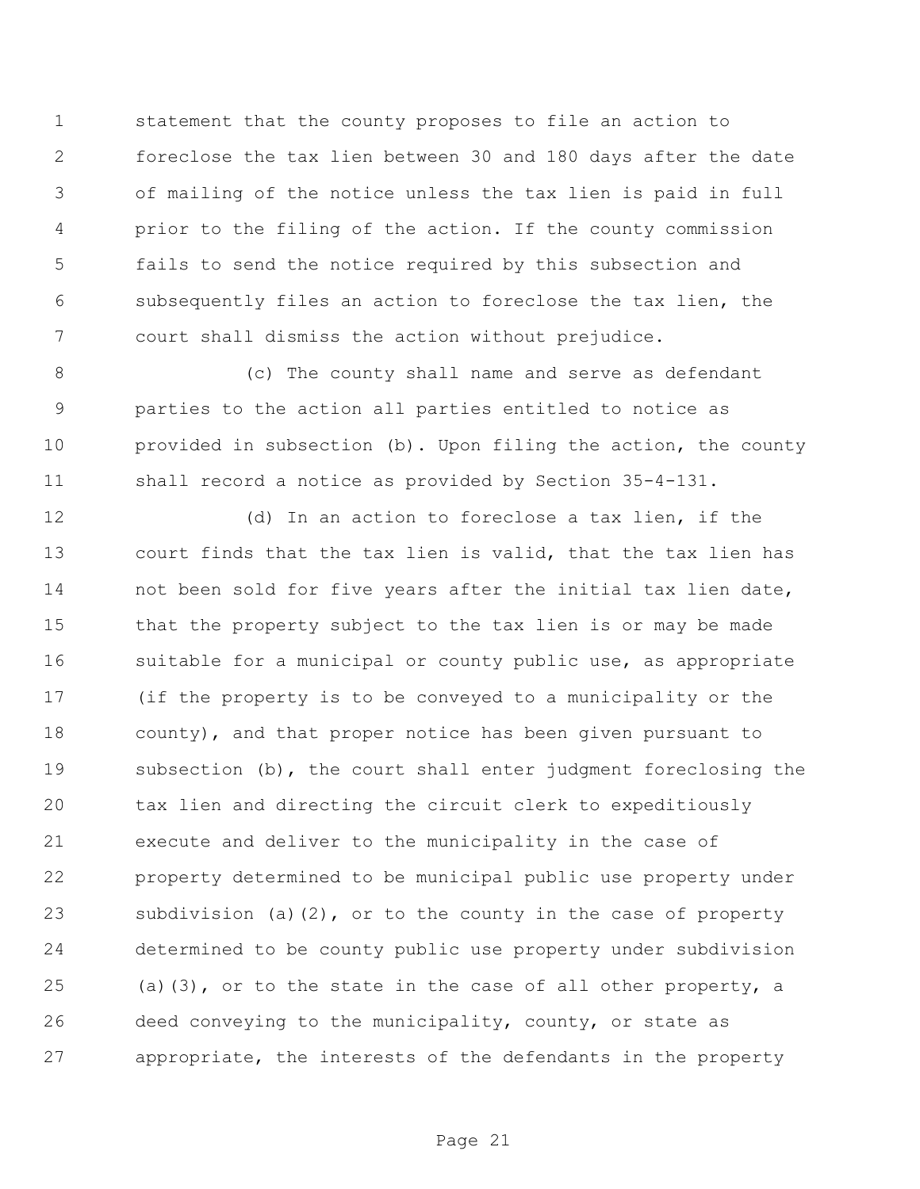statement that the county proposes to file an action to foreclose the tax lien between 30 and 180 days after the date of mailing of the notice unless the tax lien is paid in full prior to the filing of the action. If the county commission fails to send the notice required by this subsection and subsequently files an action to foreclose the tax lien, the court shall dismiss the action without prejudice.

 (c) The county shall name and serve as defendant parties to the action all parties entitled to notice as provided in subsection (b). Upon filing the action, the county shall record a notice as provided by Section 35-4-131.

 (d) In an action to foreclose a tax lien, if the court finds that the tax lien is valid, that the tax lien has not been sold for five years after the initial tax lien date, that the property subject to the tax lien is or may be made 16 suitable for a municipal or county public use, as appropriate (if the property is to be conveyed to a municipality or the county), and that proper notice has been given pursuant to subsection (b), the court shall enter judgment foreclosing the tax lien and directing the circuit clerk to expeditiously execute and deliver to the municipality in the case of property determined to be municipal public use property under subdivision (a)(2), or to the county in the case of property determined to be county public use property under subdivision (a)(3), or to the state in the case of all other property, a deed conveying to the municipality, county, or state as appropriate, the interests of the defendants in the property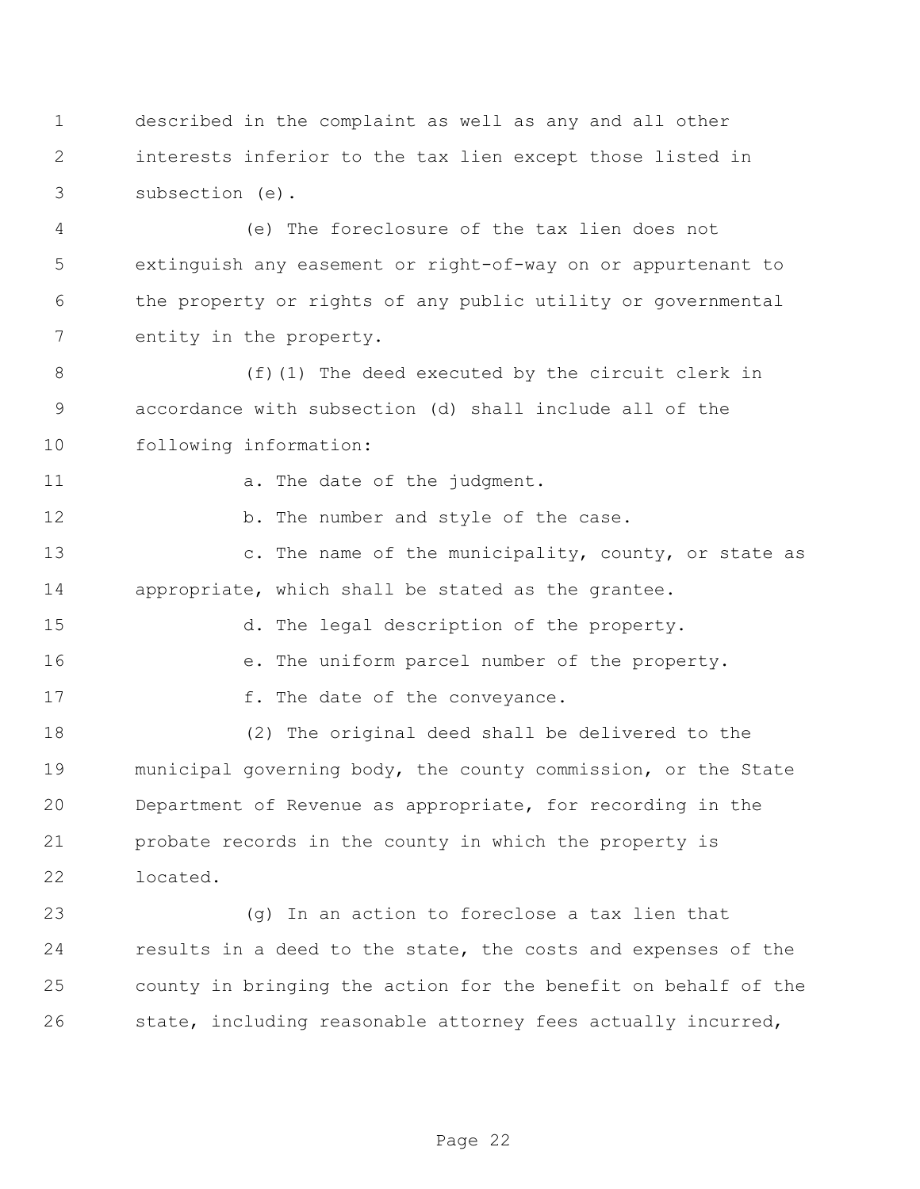described in the complaint as well as any and all other interests inferior to the tax lien except those listed in subsection (e).

 (e) The foreclosure of the tax lien does not extinguish any easement or right-of-way on or appurtenant to the property or rights of any public utility or governmental entity in the property.

8 (f)(1) The deed executed by the circuit clerk in accordance with subsection (d) shall include all of the following information:

11 a. The date of the judgment.

12 b. The number and style of the case.

13 c. The name of the municipality, county, or state as appropriate, which shall be stated as the grantee.

d. The legal description of the property.

e. The uniform parcel number of the property.

17 f. The date of the conveyance.

 (2) The original deed shall be delivered to the municipal governing body, the county commission, or the State Department of Revenue as appropriate, for recording in the probate records in the county in which the property is located.

 (g) In an action to foreclose a tax lien that results in a deed to the state, the costs and expenses of the county in bringing the action for the benefit on behalf of the state, including reasonable attorney fees actually incurred,